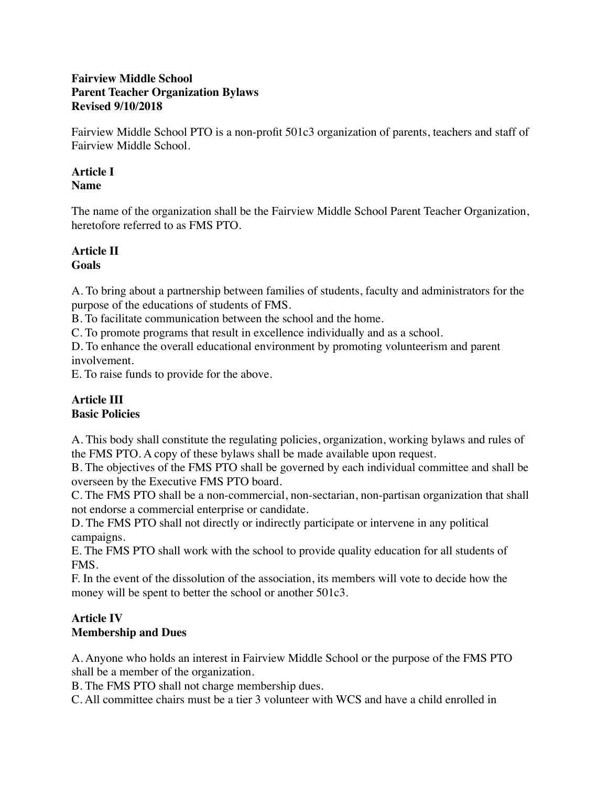### **Fairview Middle School Parent Teacher Organization Bylaws Revised 9/10/2018**

Fairview Middle School PTO is a non-profit 501c3 organization of parents, teachers and staff of Fairview Middle School.

#### **Article I Name**

The name of the organization shall be the Fairview Middle School Parent Teacher Organization, heretofore referred to as FMS PTO.

#### **Article II Goals**

A. To bring about a partnership between families of students, faculty and administrators for the purpose of the educations of students of FMS.

B. To facilitate communication between the school and the home.

C. To promote programs that result in excellence individually and as a school.

D. To enhance the overall educational environment by promoting volunteerism and parent involvement.

E. To raise funds to provide for the above.

#### **Article III Basic Policies**

A. This body shall constitute the regulating policies, organization, working bylaws and rules of the FMS PTO. A copy of these bylaws shall be made available upon request.

B. The objectives of the FMS PTO shall be governed by each individual committee and shall be overseen by the Executive FMS PTO board.

C. The FMS PTO shall be a non-commercial, non-sectarian, non-partisan organization that shall not endorse a commercial enterprise or candidate.

D. The FMS PTO shall not directly or indirectly participate or intervene in any political campaigns.

E. The FMS PTO shall work with the school to provide quality education for all students of FMS.

F. In the event of the dissolution of the association, its members will vote to decide how the money will be spent to better the school or another 501c3.

#### **Article IV Membership and Dues**

A. Anyone who holds an interest in Fairview Middle School or the purpose of the FMS PTO shall be a member of the organization.

B. The FMS PTO shall not charge membership dues.

C. All committee chairs must be a tier 3 volunteer with WCS and have a child enrolled in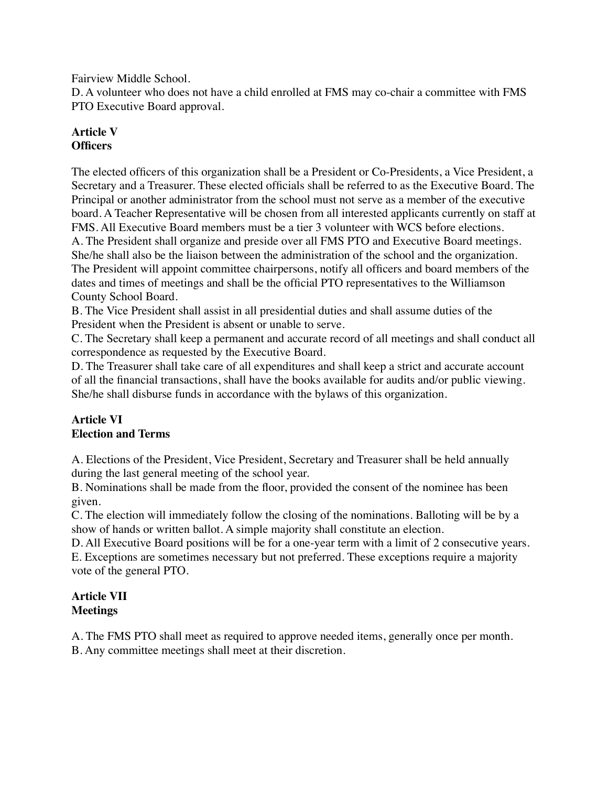Fairview Middle School.

D. A volunteer who does not have a child enrolled at FMS may co-chair a committee with FMS PTO Executive Board approval.

# **Article V Officers**

The elected officers of this organization shall be a President or Co-Presidents, a Vice President, a Secretary and a Treasurer. These elected officials shall be referred to as the Executive Board. The Principal or another administrator from the school must not serve as a member of the executive board. A Teacher Representative will be chosen from all interested applicants currently on staff at FMS. All Executive Board members must be a tier 3 volunteer with WCS before elections. A. The President shall organize and preside over all FMS PTO and Executive Board meetings. She/he shall also be the liaison between the administration of the school and the organization. The President will appoint committee chairpersons, notify all officers and board members of the dates and times of meetings and shall be the official PTO representatives to the Williamson County School Board.

B. The Vice President shall assist in all presidential duties and shall assume duties of the President when the President is absent or unable to serve.

C. The Secretary shall keep a permanent and accurate record of all meetings and shall conduct all correspondence as requested by the Executive Board.

D. The Treasurer shall take care of all expenditures and shall keep a strict and accurate account of all the financial transactions, shall have the books available for audits and/or public viewing. She/he shall disburse funds in accordance with the bylaws of this organization.

# **Article VI Election and Terms**

A. Elections of the President, Vice President, Secretary and Treasurer shall be held annually during the last general meeting of the school year.

B. Nominations shall be made from the floor, provided the consent of the nominee has been given.

C. The election will immediately follow the closing of the nominations. Balloting will be by a show of hands or written ballot. A simple majority shall constitute an election.

D. All Executive Board positions will be for a one-year term with a limit of 2 consecutive years. E. Exceptions are sometimes necessary but not preferred. These exceptions require a majority vote of the general PTO.

# **Article VII Meetings**

A. The FMS PTO shall meet as required to approve needed items, generally once per month.

B. Any committee meetings shall meet at their discretion.